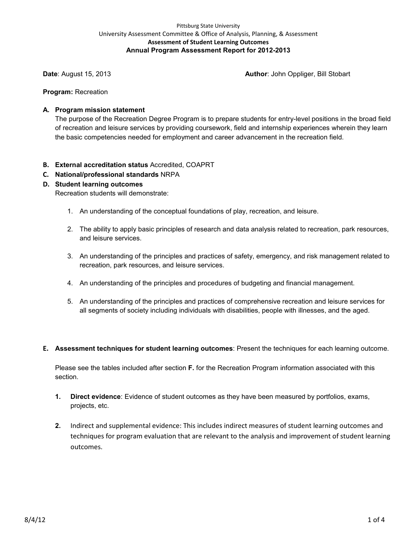## Pittsburg State University University Assessment Committee & Office of Analysis, Planning, & Assessment **Assessment of Student Learning Outcomes Annual Program Assessment Report for 2012-2013**

**Date**: August 15, 2013 **Author**: John Oppliger, Bill Stobart

**Program:** Recreation

## **A. Program mission statement**

The purpose of the Recreation Degree Program is to prepare students for entry-level positions in the broad field of recreation and leisure services by providing coursework, field and internship experiences wherein they learn the basic competencies needed for employment and career advancement in the recreation field.

- **B. External accreditation status** Accredited, COAPRT
- **C. National/professional standards** NRPA

## **D. Student learning outcomes**

Recreation students will demonstrate:

- 1. An understanding of the conceptual foundations of play, recreation, and leisure.
- 2. The ability to apply basic principles of research and data analysis related to recreation, park resources, and leisure services.
- 3. An understanding of the principles and practices of safety, emergency, and risk management related to recreation, park resources, and leisure services.
- 4. An understanding of the principles and procedures of budgeting and financial management.
- 5. An understanding of the principles and practices of comprehensive recreation and leisure services for all segments of society including individuals with disabilities, people with illnesses, and the aged.
- **E. Assessment techniques for student learning outcomes**: Present the techniques for each learning outcome.

Please see the tables included after section **F.** for the Recreation Program information associated with this section.

- **1. Direct evidence**: Evidence of student outcomes as they have been measured by portfolios, exams, projects, etc.
- **2.** Indirect and supplemental evidence: This includes indirect measures of student learning outcomes and techniques for program evaluation that are relevant to the analysis and improvement of student learning outcomes.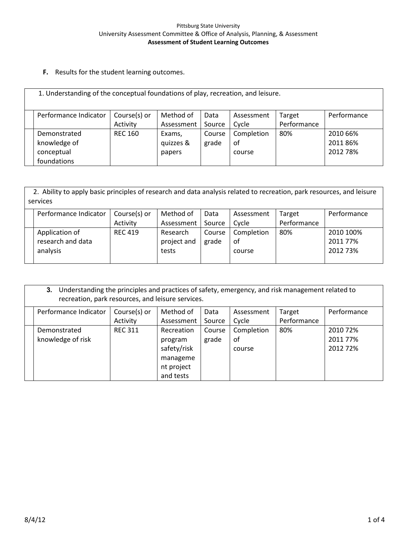**F.** Results for the student learning outcomes.

| 1. Understanding of the conceptual foundations of play, recreation, and leisure. |                |            |        |            |             |             |  |  |
|----------------------------------------------------------------------------------|----------------|------------|--------|------------|-------------|-------------|--|--|
| Performance Indicator                                                            | Course(s) or   | Method of  | Data   | Assessment | Target      | Performance |  |  |
|                                                                                  | Activity       | Assessment | Source | Cycle      | Performance |             |  |  |
| Demonstrated                                                                     | <b>REC 160</b> | Exams,     | Course | Completion | 80%         | 2010 66%    |  |  |
| knowledge of                                                                     |                | quizzes &  | grade  | of         |             | 2011 86%    |  |  |
| conceptual                                                                       |                | papers     |        | course     |             | 2012 78%    |  |  |
| foundations                                                                      |                |            |        |            |             |             |  |  |

 2. Ability to apply basic principles of research and data analysis related to recreation, park resources, and leisure services

| Performance Indicator | Course(s) or   | Method of   | Data   | Assessment | Target      | Performance |
|-----------------------|----------------|-------------|--------|------------|-------------|-------------|
|                       | Activity       | Assessment  | Source | Cvcle      | Performance |             |
| Application of        | <b>REC 419</b> | Research    | Course | Completion | 80%         | 2010 100%   |
| research and data     |                | project and | grade  | оf         |             | 2011 77%    |
| analysis              |                | tests       |        | course     |             | 2012 73%    |
|                       |                |             |        |            |             |             |

| Understanding the principles and practices of safety, emergency, and risk management related to<br>3.<br>recreation, park resources, and leisure services. |                |             |        |            |             |             |  |  |
|------------------------------------------------------------------------------------------------------------------------------------------------------------|----------------|-------------|--------|------------|-------------|-------------|--|--|
| Performance Indicator                                                                                                                                      | Course(s) or   | Method of   | Data   | Assessment | Target      | Performance |  |  |
|                                                                                                                                                            | Activity       | Assessment  | Source | Cycle      | Performance |             |  |  |
| Demonstrated                                                                                                                                               | <b>REC 311</b> | Recreation  | Course | Completion | 80%         | 2010 72%    |  |  |
| knowledge of risk                                                                                                                                          |                | program     | grade  | of         |             | 2011 77%    |  |  |
|                                                                                                                                                            |                | safety/risk |        | course     |             | 2012 72%    |  |  |
|                                                                                                                                                            |                | manageme    |        |            |             |             |  |  |
|                                                                                                                                                            |                | nt project  |        |            |             |             |  |  |
|                                                                                                                                                            |                | and tests   |        |            |             |             |  |  |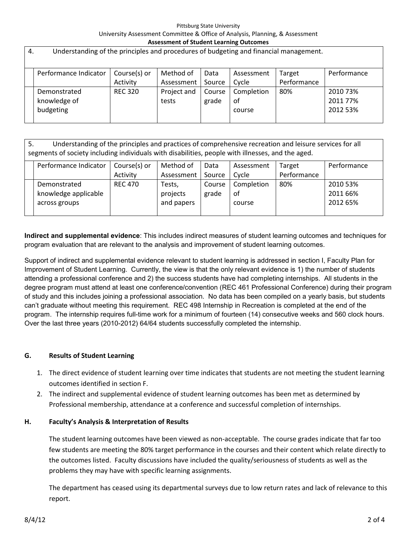#### Pittsburg State University University Assessment Committee & Office of Analysis, Planning, & Assessment **Assessment of Student Learning Outcomes**

| 4. | Understanding of the principles and procedures of budgeting and financial management. |                |             |        |            |             |             |  |  |  |
|----|---------------------------------------------------------------------------------------|----------------|-------------|--------|------------|-------------|-------------|--|--|--|
|    |                                                                                       |                |             |        |            |             |             |  |  |  |
|    | Performance Indicator                                                                 | Course(s) or   | Method of   | Data   | Assessment | Target      | Performance |  |  |  |
|    |                                                                                       | Activity       | Assessment  | Source | Cycle      | Performance |             |  |  |  |
|    | Demonstrated                                                                          | <b>REC 320</b> | Project and | Course | Completion | 80%         | 2010 73%    |  |  |  |
|    | knowledge of                                                                          |                | tests       | grade  | 0f         |             | 2011 77%    |  |  |  |
|    | budgeting                                                                             |                |             |        | course     |             | 2012 53%    |  |  |  |
|    |                                                                                       |                |             |        |            |             |             |  |  |  |

| Understanding of the principles and practices of comprehensive recreation and leisure services for all<br>5.<br>segments of society including individuals with disabilities, people with illnesses, and the aged. |                                                                                                                                                               |                |                                  |                 |                            |     |                                  |  |  |
|-------------------------------------------------------------------------------------------------------------------------------------------------------------------------------------------------------------------|---------------------------------------------------------------------------------------------------------------------------------------------------------------|----------------|----------------------------------|-----------------|----------------------------|-----|----------------------------------|--|--|
|                                                                                                                                                                                                                   | Performance Indicator<br>Course(s) or<br>Performance<br>Method of<br>Data<br>Assessment<br>Target<br>Performance<br>Assessment<br>Activity<br>Source<br>Cycle |                |                                  |                 |                            |     |                                  |  |  |
|                                                                                                                                                                                                                   | Demonstrated<br>knowledge applicable<br>across groups                                                                                                         | <b>REC 470</b> | Tests,<br>projects<br>and papers | Course<br>grade | Completion<br>οf<br>course | 80% | 2010 53%<br>2011 66%<br>2012 65% |  |  |

**Indirect and supplemental evidence**: This includes indirect measures of student learning outcomes and techniques for program evaluation that are relevant to the analysis and improvement of student learning outcomes.

Support of indirect and supplemental evidence relevant to student learning is addressed in section I, Faculty Plan for Improvement of Student Learning. Currently, the view is that the only relevant evidence is 1) the number of students attending a professional conference and 2) the success students have had completing internships. All students in the degree program must attend at least one conference/convention (REC 461 Professional Conference) during their program of study and this includes joining a professional association. No data has been compiled on a yearly basis, but students can't graduate without meeting this requirement. REC 498 Internship in Recreation is completed at the end of the program. The internship requires full-time work for a minimum of fourteen (14) consecutive weeks and 560 clock hours. Over the last three years (2010-2012) 64/64 students successfully completed the internship.

# **G. Results of Student Learning**

- 1. The direct evidence of student learning over time indicates that students are not meeting the student learning outcomes identified in section F.
- 2. The indirect and supplemental evidence of student learning outcomes has been met as determined by Professional membership, attendance at a conference and successful completion of internships.

# **H. Faculty's Analysis & Interpretation of Results**

The student learning outcomes have been viewed as non-acceptable. The course grades indicate that far too few students are meeting the 80% target performance in the courses and their content which relate directly to the outcomes listed. Faculty discussions have included the quality/seriousness of students as well as the problems they may have with specific learning assignments.

The department has ceased using its departmental surveys due to low return rates and lack of relevance to this report.